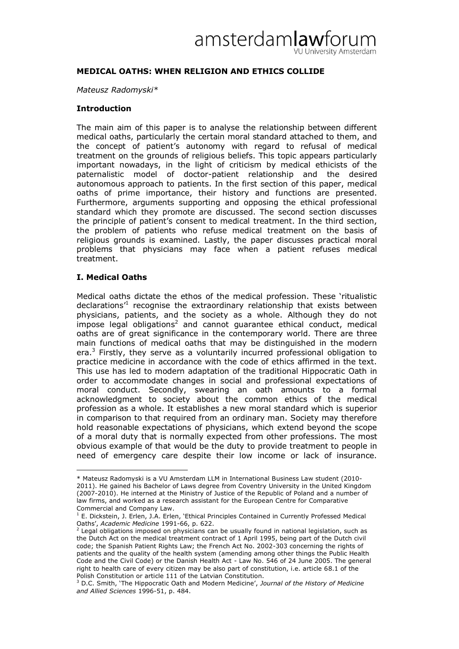# amsterdamlaw U University Amsterdam

# **MEDICAL OATHS: WHEN RELIGION AND ETHICS COLLIDE**

#### *Mateusz Radomyski\**

## **Introduction**

The main aim of this paper is to analyse the relationship between different medical oaths, particularly the certain moral standard attached to them, and the concept of patient"s autonomy with regard to refusal of medical treatment on the grounds of religious beliefs. This topic appears particularly important nowadays, in the light of criticism by medical ethicists of the paternalistic model of doctor-patient relationship and the desired autonomous approach to patients. In the first section of this paper, medical oaths of prime importance, their history and functions are presented. Furthermore, arguments supporting and opposing the ethical professional standard which they promote are discussed. The second section discusses the principle of patient"s consent to medical treatment. In the third section, the problem of patients who refuse medical treatment on the basis of religious grounds is examined. Lastly, the paper discusses practical moral problems that physicians may face when a patient refuses medical treatment.

# **I. Medical Oaths**

 $\overline{a}$ 

Medical oaths dictate the ethos of the medical profession. These "ritualistic declarations<sup>1</sup> recognise the extraordinary relationship that exists between physicians, patients, and the society as a whole. Although they do not impose legal obligations<sup>2</sup> and cannot guarantee ethical conduct, medical oaths are of great significance in the contemporary world. There are three main functions of medical oaths that may be distinguished in the modern era.<sup>3</sup> Firstly, they serve as a voluntarily incurred professional obligation to practice medicine in accordance with the code of ethics affirmed in the text. This use has led to modern adaptation of the traditional Hippocratic Oath in order to accommodate changes in social and professional expectations of moral conduct. Secondly, swearing an oath amounts to a formal acknowledgment to society about the common ethics of the medical profession as a whole. It establishes a new moral standard which is superior in comparison to that required from an ordinary man. Society may therefore hold reasonable expectations of physicians, which extend beyond the scope of a moral duty that is normally expected from other professions. The most obvious example of that would be the duty to provide treatment to people in need of emergency care despite their low income or lack of insurance.

<sup>\*</sup> Mateusz Radomyski is a VU Amsterdam LLM in International Business Law student (2010- 2011). He gained his Bachelor of Laws degree from Coventry University in the United Kingdom (2007-2010). He interned at the Ministry of Justice of the Republic of Poland and a number of law firms, and worked as a research assistant for the European Centre for Comparative Commercial and Company Law.

<sup>1</sup> E. Dickstein, J. Erlen, J.A. Erlen, "Ethical Principles Contained in Currently Professed Medical Oaths", *Academic Medicine* 1991-66, p. 622.

 $<sup>2</sup>$  Legal obligations imposed on physicians can be usually found in national legislation, such as</sup> the Dutch Act on the medical treatment contract of 1 April 1995, being part of the Dutch civil code; the Spanish Patient Rights Law; the French Act No. 2002-303 concerning the rights of patients and the quality of the health system (amending among other things the Public Health Code and the Civil Code) or the Danish Health Act - Law No. 546 of 24 June 2005. The general right to health care of every citizen may be also part of constitution, i.e. article 68.1 of the Polish Constitution or article 111 of the Latvian Constitution.

<sup>3</sup> D.C. Smith, "The Hippocratic Oath and Modern Medicine", *Journal of the History of Medicine and Allied Sciences* 1996-51, p. 484.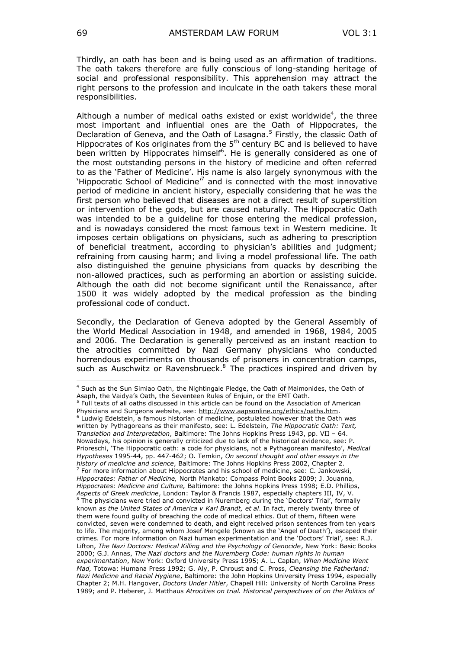Thirdly, an oath has been and is being used as an affirmation of traditions. The oath takers therefore are fully conscious of long-standing heritage of social and professional responsibility. This apprehension may attract the right persons to the profession and inculcate in the oath takers these moral responsibilities.

Although a number of medical oaths existed or exist worldwide<sup>4</sup>, the three most important and influential ones are the Oath of Hippocrates, the Declaration of Geneva, and the Oath of Lasagna.<sup>5</sup> Firstly, the classic Oath of Hippocrates of Kos originates from the  $5<sup>th</sup>$  century BC and is believed to have been written by Hippocrates himself<sup>6</sup>. He is generally considered as one of the most outstanding persons in the history of medicine and often referred to as the "Father of Medicine". His name is also largely synonymous with the 'Hippocratic School of Medicine<sup> $\sigma$ </sup> and is connected with the most innovative period of medicine in ancient history, especially considering that he was the first person who believed that diseases are not a direct result of superstition or intervention of the gods, but are caused naturally. The Hippocratic Oath was intended to be a guideline for those entering the medical profession, and is nowadays considered the most famous text in Western medicine. It imposes certain obligations on physicians, such as adhering to prescription of beneficial treatment, according to physician's abilities and judgment; refraining from causing harm; and living a model professional life. The oath also distinguished the genuine physicians from quacks by describing the non-allowed practices, such as performing an abortion or assisting suicide. Although the oath did not become significant until the Renaissance, after 1500 it was widely adopted by the medical profession as the binding professional code of conduct.

Secondly, the Declaration of Geneva adopted by the General Assembly of the World Medical Association in 1948, and amended in 1968, 1984, 2005 and 2006. The Declaration is generally perceived as an instant reaction to the atrocities committed by Nazi Germany physicians who conducted horrendous experiments on thousands of prisoners in concentration camps, such as Auschwitz or Ravensbrueck.<sup>8</sup> The practices inspired and driven by

Physicians and Surgeons website, see: http://www.aapsonline.org/ethics/oaths.htm. <sup>6</sup> Ludwig Edelstein, a famous historian of medicine, postulated however that the Oath was written by Pythagoreans as their manifesto, see: L. Edelstein, *The Hippocratic Oath: Text, Translation and Interpretation*, Baltimore: The Johns Hopkins Press 1943, pp. VII – 64. Nowadays, his opinion is generally criticized due to lack of the historical evidence, see: P. Prioreschi, 'The Hippocratic oath: a code for physicians, not a Pythagorean manifesto', Medical *Hypotheses* 1995-44, pp. 447-462; O. Temkin, *On second thought and other essays in the history of medicine and science*, Baltimore: The Johns Hopkins Press 2002, Chapter 2.  $<sup>7</sup>$  For more information about Hippocrates and his school of medicine, see: C. Jankowski,</sup> *Hippocrates: Father of Medicine,* North Mankato: Compass Point Books 2009; J. Jouanna, *Hippocrates: Medicine and Culture,* Baltimore: the Johns Hopkins Press 1998; E.D. Phillips, *Aspects of Greek medicine*, London: Taylor & Francis 1987, especially chapters III, IV, V. <sup>8</sup> The physicians were tried and convicted in Nuremberg during the 'Doctors' Trial', formally known as *the United States of America v Karl Brandt, et al*. In fact, merely twenty three of them were found guilty of breaching the code of medical ethics. Out of them, fifteen were convicted, seven were condemned to death, and eight received prison sentences from ten years to life. The majority, among whom Josef Mengele (known as the "Angel of Death"), escaped their crimes. For more information on Nazi human experimentation and the "Doctors" Trial", see: R.J. Lifton, *The Nazi Doctors: Medical Killing and the Psychology of Genocide*, New York: Basic Books 2000; G.J. Annas, *The Nazi doctors and the Nuremberg Code: human rights in human experimentation*, New York: Oxford University Press 1995; A. L. Caplan, *When Medicine Went Mad,* Totowa: Humana Press 1992; G. Aly, P. Chroust and C. Pross, *Cleansing the Fatherland: Nazi Medicine and Racial Hygiene*, Baltimore: the John Hopkins University Press 1994, especially Chapter 2; M.H. Hangover, *Doctors Under Hitler*, Chapell Hill: University of North Carolina Press 1989; and P. Heberer, J. Matthaus *Atrocities on trial. Historical perspectives of on the Politics of* 

<sup>4</sup> Such as the Sun Simiao Oath, the Nightingale Pledge, the Oath of Maimonides, the Oath of Asaph, the Vaidya's Oath, the Seventeen Rules of Enjuin, or the EMT Oath.<br><sup>5</sup> Full texts of all oaths discussed in this article can be found on the Association of American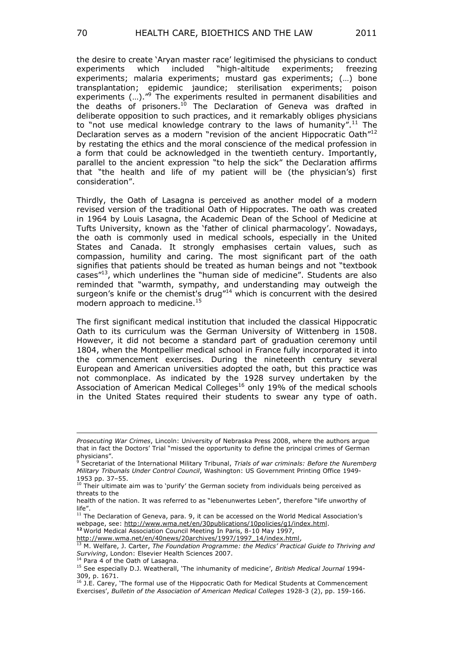the desire to create 'Aryan master race' legitimised the physicians to conduct experiments which included "high-altitude experiments; freezing experiments; malaria experiments; mustard gas experiments; (…) bone transplantation; epidemic jaundice; sterilisation experiments; poison experiments (...)."<sup>9</sup> The experiments resulted in permanent disabilities and the deaths of prisoners.<sup>10</sup> The Declaration of Geneva was drafted in deliberate opposition to such practices, and it remarkably obliges physicians to "not use medical knowledge contrary to the laws of humanity".<sup>11</sup> The Declaration serves as a modern "revision of the ancient Hippocratic Oath"<sup>12</sup> by restating the ethics and the moral conscience of the medical profession in a form that could be acknowledged in the twentieth century. Importantly, parallel to the ancient expression "to help the sick" the Declaration affirms that "the health and life of my patient will be (the physician's) first consideration".

Thirdly, the Oath of Lasagna is perceived as another model of a modern revised version of the traditional Oath of Hippocrates. The oath was created in 1964 by Louis Lasagna, the Academic Dean of the School of Medicine at Tufts University, known as the 'father of clinical pharmacology'. Nowadays, the oath is commonly used in medical schools, especially in the United States and Canada. It strongly emphasises certain values, such as compassion, humility and caring. The most significant part of the oath signifies that patients should be treated as human beings and not "textbook cases"<sup>13</sup>, which underlines the "human side of medicine". Students are also reminded that "warmth, sympathy, and understanding may outweigh the surgeon's knife or the chemist's drug<sup>"14</sup> which is concurrent with the desired modern approach to medicine.<sup>15</sup>

The first significant medical institution that included the classical Hippocratic Oath to its curriculum was the German University of Wittenberg in 1508. However, it did not become a standard part of graduation ceremony until 1804, when the Montpellier medical school in France fully incorporated it into the commencement exercises. During the nineteenth century several European and American universities adopted the oath, but this practice was not commonplace. As indicated by the 1928 survey undertaken by the Association of American Medical Colleges<sup>16</sup> only 19% of the medical schools in the United States required their students to swear any type of oath.

**<sup>12</sup>** World Medical Association Council Meeting In Paris, 8-10 May 1997, [http://www.wma.net/en/40news/20archives/1997/1997\\_14/index.html,](http://www.wma.net/en/40news/20archives/1997/1997_14/index.html)

*Prosecuting War Crimes*, Lincoln: University of Nebraska Press 2008, where the authors argue that in fact the Doctors" Trial "missed the opportunity to define the principal crimes of German physicians".

<sup>9</sup> Secretariat of the International Military Tribunal, *Trials of war criminals: Before the Nuremberg Military Tribunals Under Control Council*, Washington: US Government Printing Office 1949- 1953 pp. 37–55.

<sup>&</sup>lt;sup>10</sup> Their ultimate aim was to 'purify' the German society from individuals being perceived as threats to the

health of the nation. It was referred to as "lebenunwertes Leben", therefore "life unworthy of life".

 $11$  The Declaration of Geneva, para. 9, it can be accessed on the World Medical Association's webpage, see: [http://www.wma.net/en/30publications/10policies/g1/index.html.](http://www.wma.net/en/30publications/10policies/g1/index.html)

<sup>13</sup> M. Welfare, J. Carter, *The Foundation Programme: the Medics' Practical Guide to Thriving and Surviving*, London: Elsevier Health Sciences 2007.

<sup>&</sup>lt;sup>14</sup> Para 4 of the Oath of Lasagna.

<sup>&</sup>lt;sup>15</sup> See especially D.J. Weatherall, 'The inhumanity of medicine', *British Medical Journal* 1994-309, p. 1671.

<sup>16</sup> J.E. Carey, "The formal use of the Hippocratic Oath for Medical Students at Commencement Exercises", *Bulletin of the Association of American Medical Colleges* 1928-3 (2), pp. 159-166.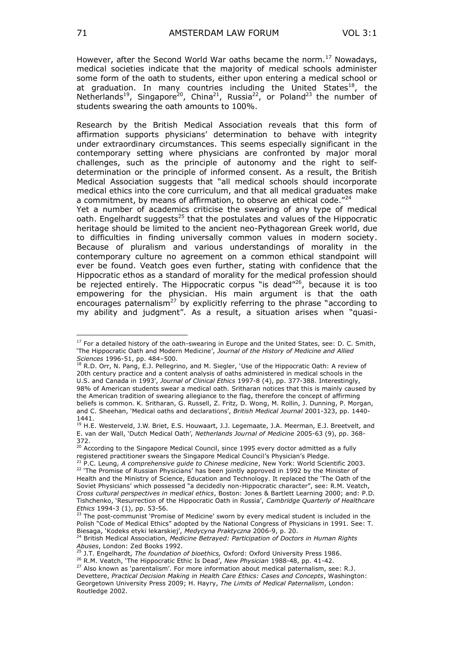However, after the Second World War oaths became the norm. $^{17}$  Nowadays, medical societies indicate that the majority of medical schools administer some form of the oath to students, either upon entering a medical school or at graduation. In many countries including the United States<sup>18</sup>, the Netherlands<sup>19</sup>, Singapore<sup>20</sup>, China<sup>21</sup>, Russia<sup>22</sup>, or Poland<sup>23</sup> the number of students swearing the oath amounts to 100%.

Research by the British Medical Association reveals that this form of affirmation supports physicians' determination to behave with integrity under extraordinary circumstances. This seems especially significant in the contemporary setting where physicians are confronted by major moral challenges, such as the principle of autonomy and the right to selfdetermination or the principle of informed consent. As a result, the British Medical Association suggests that "all medical schools should incorporate medical ethics into the core curriculum, and that all medical graduates make a commitment, by means of affirmation, to observe an ethical code.<sup>"24</sup>

Yet a number of academics criticise the swearing of any type of medical oath. Engelhardt suggests<sup>25</sup> that the postulates and values of the Hippocratic heritage should be limited to the ancient neo-Pythagorean Greek world, due to difficulties in finding universally common values in modern society. Because of pluralism and various understandings of morality in the contemporary culture no agreement on a common ethical standpoint will ever be found. Veatch goes even further, stating with confidence that the Hippocratic ethos as a standard of morality for the medical profession should be rejected entirely. The Hippocratic corpus "is dead"<sup>26</sup>, because it is too empowering for the physician. His main argument is that the oath encourages paternalism<sup>27</sup> by explicitly referring to the phrase "according to my ability and judgment". As a result, a situation arises when "quasi-

<sup>&</sup>lt;sup>17</sup> For a detailed history of the oath-swearing in Europe and the United States, see: D. C. Smith, "The Hippocratic Oath and Modern Medicine", *Journal of the History of Medicine and Allied Sciences* 1996-51, pp. 484–500.

 $^{18}$  R.D. Orr, N. Pang, E.J. Pellegrino, and M. Siegler, 'Use of the Hippocratic Oath: A review of 20th century practice and a content analysis of oaths administered in medical schools in the U.S. and Canada in 1993", *Journal of Clinical Ethics* 1997-8 (4), pp. 377-388. Interestingly, 98% of American students swear a medical oath. Sritharan notices that this is mainly caused by the American tradition of swearing allegiance to the flag, therefore the concept of affirming beliefs is common. K. Sritharan, G. Russell, Z. Fritz, D. Wong, M. Rollin, J. Dunning, P. Morgan, and C. Sheehan, "Medical oaths and declarations", *British Medical Journal* 2001-323, pp. 1440- 1441.

<sup>19</sup> H.E. Westerveld, J.W. Briet, E.S. Houwaart, J.J. Legemaate, J.A. Meerman, E.J. Breetvelt, and E. van der Wall, "Dutch Medical Oath", *Netherlands Journal of Medicine* 2005-63 (9), pp. 368- 372.

<sup>&</sup>lt;sup>20</sup> According to the Singapore Medical Council, since 1995 every doctor admitted as a fully registered practitioner swears the Singapore Medical Council's Physician's Pledge.

<sup>21</sup> P.C. Leung, *A comprehensive guide to Chinese medicine*, New York: World Scientific 2003. <sup>22</sup> 'The Promise of Russian Physicians' has been jointly approved in 1992 by the Minister of Health and the Ministry of Science, Education and Technology. It replaced the "The Oath of the Soviet Physicians" which possessed "a decidedly non-Hippocratic character", see: R.M. Veatch, *Cross cultural perspectives in medical ethics*, Boston: Jones & Bartlett Learning 2000; and: P.D. Tishchenko, "Resurrection of the Hippocratic Oath in Russia", *Cambridge Quarterly of Healthcare Ethics* 1994-3 (1), pp. 53-56.

<sup>&</sup>lt;sup>23</sup> The post-communist 'Promise of Medicine' sworn by every medical student is included in the Polish "Code of Medical Ethics" adopted by the National Congress of Physicians in 1991. See: T. Biesaga, "Kodeks etyki lekarskiej", *Medycyna Praktyczna* 2006-9, p. 20.

<sup>24</sup> British Medical Association, *Medicine Betrayed: Participation of Doctors in Human Rights Abuses*, London: Zed Books 1992.

<sup>25</sup> J.T. Engelhardt, *The foundation of bioethics,* Oxford: Oxford University Press 1986.

<sup>26</sup> R.M. Veatch, "The Hippocratic Ethic Is Dead", *New Physician* 1988-48, pp. 41-42.

 $^{27}$  Also known as 'parentalism'. For more information about medical paternalism, see: R.J. Devettere, *Practical Decision Making in Health Care Ethics: Cases and Concepts*, Washington: Georgetown University Press 2009; H. Hayry, *The Limits of Medical Paternalism*, London: Routledge 2002.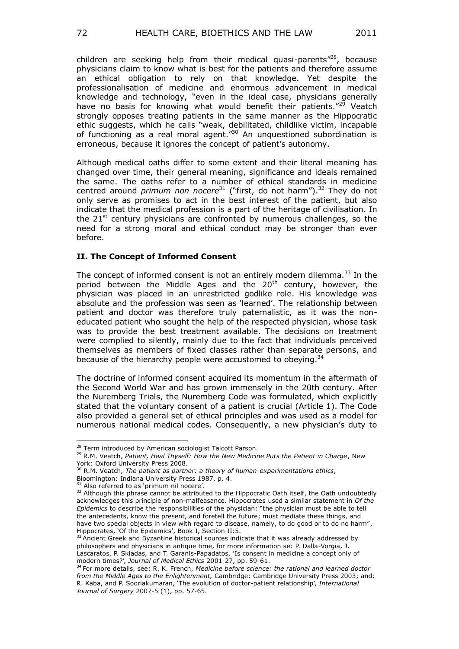children are seeking help from their medical quasi-parents"<sup>28</sup>, because physicians claim to know what is best for the patients and therefore assume an ethical obligation to rely on that knowledge. Yet despite the

professionalisation of medicine and enormous advancement in medical knowledge and technology, "even in the ideal case, physicians generally have no basis for knowing what would benefit their patients."<sup>29</sup> Veatch strongly opposes treating patients in the same manner as the Hippocratic ethic suggests, which he calls "weak, debilitated, childlike victim, incapable of functioning as a real moral agent."<sup>30</sup> An unquestioned subordination is erroneous, because it ignores the concept of patient's autonomy.

Although medical oaths differ to some extent and their literal meaning has changed over time, their general meaning, significance and ideals remained the same. The oaths refer to a number of ethical standards in medicine centred around *primum non nocere*<sup>31</sup> ("first, do not harm").<sup>32</sup> They do not only serve as promises to act in the best interest of the patient, but also indicate that the medical profession is a part of the heritage of civilisation. In the  $21<sup>st</sup>$  century physicians are confronted by numerous challenges, so the need for a strong moral and ethical conduct may be stronger than ever before.

# **II. The Concept of Informed Consent**

The concept of informed consent is not an entirely modern dilemma. $33$  In the period between the Middle Ages and the  $20<sup>th</sup>$  century, however, the physician was placed in an unrestricted godlike role. His knowledge was absolute and the profession was seen as 'learned'. The relationship between patient and doctor was therefore truly paternalistic, as it was the noneducated patient who sought the help of the respected physician, whose task was to provide the best treatment available. The decisions on treatment were complied to silently, mainly due to the fact that individuals perceived themselves as members of fixed classes rather than separate persons, and because of the hierarchy people were accustomed to obeying.<sup>34</sup>

The doctrine of informed consent acquired its momentum in the aftermath of the Second World War and has grown immensely in the 20th century. After the Nuremberg Trials, the Nuremberg Code was formulated, which explicitly stated that the voluntary consent of a patient is crucial (Article 1). The Code also provided a general set of ethical principles and was used as a model for numerous national medical codes. Consequently, a new physician's duty to

Bloomington: Indiana University Press 1987, p. 4.

<sup>&</sup>lt;sup>28</sup> Term introduced by American sociologist Talcott Parson.

<sup>29</sup> R.M. Veatch, *Patient, Heal Thyself: How the New Medicine Puts the Patient in Charge*, New York: Oxford University Press 2008.

<sup>30</sup> R.M. Veatch, *The patient as partner: a theory of human-experimentations ethics*,

<sup>&</sup>lt;sup>31</sup> Also referred to as 'primum nil nocere'.

<sup>&</sup>lt;sup>32</sup> Although this phrase cannot be attributed to the Hippocratic Oath itself, the Oath undoubtedly acknowledges this principle of non-malfeasance. Hippocrates used a similar statement in *Of the Epidemics* to describe the responsibilities of the physician: "the physician must be able to tell the antecedents, know the present, and foretell the future; must mediate these things, and have two special objects in view with regard to disease, namely, to do good or to do no harm", Hippocrates, 'Of the Epidemics', Book I, Section II:5.

<sup>&</sup>lt;sup>33</sup> Ancient Greek and Byzantine historical sources indicate that it was already addressed by philosophers and physicians in antique time, for more information se: P. Dalla-Vorgia, J. Lascaratos, P. Skiadas, and T. Garanis-Papadatos, "Is consent in medicine a concept only of modern times?", *Journal of Medical Ethics* 2001-27, pp. 59-61.

<sup>34</sup> For more details, see: R. K. French, *Medicine before science: the rational and learned doctor from the Middle Ages to the Enlightenment,* Cambridge: Cambridge University Press 2003; and: R. Kaba, and P. Sooriakumaran, "The evolution of doctor-patient relationship", *International Journal of Surgery* 2007-5 (1), pp. 57-65.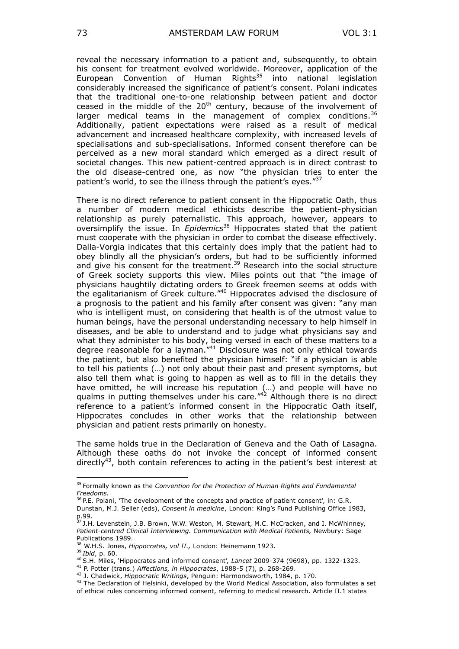reveal the necessary information to a patient and, subsequently, to obtain his consent for treatment evolved worldwide. Moreover, application of the European Convention of Human Rights<sup>35</sup> into national legislation considerably increased the significance of patient's consent. Polani indicates that the traditional one-to-one relationship between patient and doctor ceased in the middle of the  $20<sup>th</sup>$  century, because of the involvement of larger medical teams in the management of complex conditions.  $36$ Additionally, patient expectations were raised as a result of medical advancement and increased healthcare complexity, with increased levels of specialisations and sub-specialisations. Informed consent therefore can be perceived as a new moral standard which emerged as a direct result of societal changes. This new patient-centred approach is in direct contrast to the old disease-centred one, as now "the physician tries to enter the patient's world, to see the illness through the patient's eves."37

There is no direct reference to patient consent in the Hippocratic Oath, thus a number of modern medical ethicists describe the patient-physician relationship as purely paternalistic. This approach, however, appears to oversimplify the issue. In *Epidemics*<sup>38</sup> Hippocrates stated that the patient must cooperate with the physician in order to combat the disease effectively. Dalla-Vorgia indicates that this certainly does imply that the patient had to obey blindly all the physician"s orders, but had to be sufficiently informed and give his consent for the treatment.<sup>39</sup> Research into the social structure of Greek society supports this view. Miles points out that "the image of physicians haughtily dictating orders to Greek freemen seems at odds with the egalitarianism of Greek culture."<sup>40</sup> Hippocrates advised the disclosure of a prognosis to the patient and his family after consent was given: "any man who is intelligent must, on considering that health is of the utmost value to human beings, have the personal understanding necessary to help himself in diseases, and be able to understand and to judge what physicians say and what they administer to his body, being versed in each of these matters to a degree reasonable for a layman. $144$  Disclosure was not only ethical towards the patient, but also benefited the physician himself: "if a physician is able to tell his patients (…) not only about their past and present symptoms, but also tell them what is going to happen as well as to fill in the details they have omitted, he will increase his reputation (…) and people will have no qualms in putting themselves under his care." $42$  Although there is no direct reference to a patient"s informed consent in the Hippocratic Oath itself, Hippocrates concludes in other works that the relationship between physician and patient rests primarily on honesty.

The same holds true in the Declaration of Geneva and the Oath of Lasagna. Although these oaths do not invoke the concept of informed consent directly<sup>43</sup>, both contain references to acting in the patient's best interest at

36 P.E. Polani, 'The development of the concepts and practice of patient consent', in: G.R. Dunstan, M.J. Seller (eds), *Consent in medicine*, London: King"s Fund Publishing Office 1983, p.99.

<sup>39</sup> *Ibid*, p. 60.

<sup>35</sup> Formally known as the *Convention for the Protection of Human Rights and Fundamental Freedoms.*

<sup>&</sup>lt;sup>37</sup> J.H. Levenstein, J.B. Brown, W.W. Weston, M. Stewart, M.C. McCracken, and I. McWhinney, *Patient-centred Clinical Interviewing. Communication with Medical Patients,* Newbury: Sage Publications 1989.

<sup>&</sup>lt;sup>38</sup> W.H.S. Jones, *Hippocrates, vol II.*, London: Heinemann 1923.

<sup>&</sup>lt;sup>40</sup> S.H. Miles, 'Hippocrates and informed consent', Lancet 2009-374 (9698), pp. 1322-1323.

<sup>41</sup> P. Potter (trans.) *Affections, in Hippocrates*, 1988-5 (7), p. 268-269.

<sup>42</sup> J. Chadwick, *Hippocratic Writings*, Penguin: Harmondsworth, 1984, p. 170.

<sup>&</sup>lt;sup>43</sup> The Declaration of Helsinki, developed by the World Medical Association, also formulates a set of ethical rules concerning informed consent, referring to medical research. Article II.1 states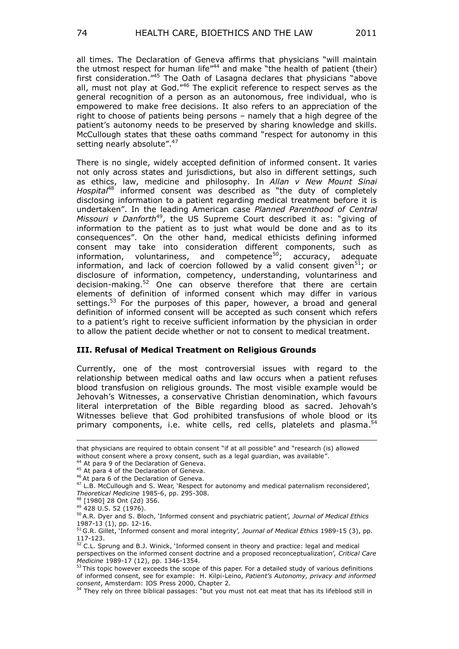all times. The Declaration of Geneva affirms that physicians "will maintain the utmost respect for human life<sup>"44</sup> and make "the health of patient (their) first consideration."<sup>45</sup> The Oath of Lasagna declares that physicians "above all, must not play at God."<sup>46</sup> The explicit reference to respect serves as the general recognition of a person as an autonomous, free individual, who is empowered to make free decisions. It also refers to an appreciation of the right to choose of patients being persons – namely that a high degree of the patient"s autonomy needs to be preserved by sharing knowledge and skills. McCullough states that these oaths command "respect for autonomy in this setting nearly absolute".<sup>47</sup>

There is no single, widely accepted definition of informed consent. It varies not only across states and jurisdictions, but also in different settings, such as ethics, law, medicine and philosophy. In *Allan v New Mount Sinai Hospital*<sup>48</sup> informed consent was described as "the duty of completely disclosing information to a patient regarding medical treatment before it is undertaken". In the leading American case *Planned Parenthood of Central Missouri v Danforth*<sup>49</sup>, the US Supreme Court described it as: "giving of information to the patient as to just what would be done and as to its consequences". On the other hand, medical ethicists defining informed consent may take into consideration different components, such as information, voluntariness, and competence<sup>50</sup>; accuracy, adequate information, and lack of coercion followed by a valid consent given<sup>51</sup>; or disclosure of information, competency, understanding, voluntariness and decision-making.<sup>52</sup> One can observe therefore that there are certain elements of definition of informed consent which may differ in various settings.<sup>53</sup> For the purposes of this paper, however, a broad and general definition of informed consent will be accepted as such consent which refers to a patient"s right to receive sufficient information by the physician in order to allow the patient decide whether or not to consent to medical treatment.

## **III. Refusal of Medical Treatment on Religious Grounds**

Currently, one of the most controversial issues with regard to the relationship between medical oaths and law occurs when a patient refuses blood transfusion on religious grounds. The most visible example would be Jehovah's Witnesses, a conservative Christian denomination, which favours literal interpretation of the Bible regarding blood as sacred. Jehovah"s Witnesses believe that God prohibited transfusions of whole blood or its primary components, i.e. white cells, red cells, platelets and plasma.<sup>54</sup>

that physicians are required to obtain consent "if at all possible" and "research (is) allowed without consent where a proxy consent, such as a legal guardian, was available".

 $4$  At para 9 of the Declaration of Geneva.

<sup>&</sup>lt;sup>45</sup> At para 4 of the Declaration of Geneva.

<sup>&</sup>lt;sup>46</sup> At para 6 of the Declaration of Geneva.

<sup>&</sup>lt;sup>47</sup> L.B. McCullough and S. Wear, 'Respect for autonomy and medical paternalism reconsidered', *Theoretical Medicine* 1985-6, pp. 295-308.

<sup>48</sup> [1980] 28 Ont (2d) 356.

<sup>49</sup> 428 U.S. 52 (1976).

<sup>50</sup> A.R. Dyer and S. Bloch, "Informed consent and psychiatric patient", *Journal of Medical Ethics* 1987-13 (1), pp. 12-16.

<sup>51</sup> G.R. Gillet, 'Informed consent and moral integrity', *Journal of Medical Ethics* 1989-15 (3), pp. 117-123.

<sup>&</sup>lt;sup>52</sup> C.L. Sprung and B.J. Winick, 'Informed consent in theory and practice: legal and medical perspectives on the informed consent doctrine and a proposed reconceptualization", *Critical Care Medicine* 1989-17 (12), pp. 1346-1354.

 $53$  This topic however exceeds the scope of this paper. For a detailed study of various definitions of informed consent, see for example: H. Kilpi-Leino, *Patient's Autonomy, privacy and informed consent*, Amsterdam: IOS Press 2000, Chapter 2.

<sup>&</sup>lt;sup>54</sup> They rely on three biblical passages: "but you must not eat meat that has its lifeblood still in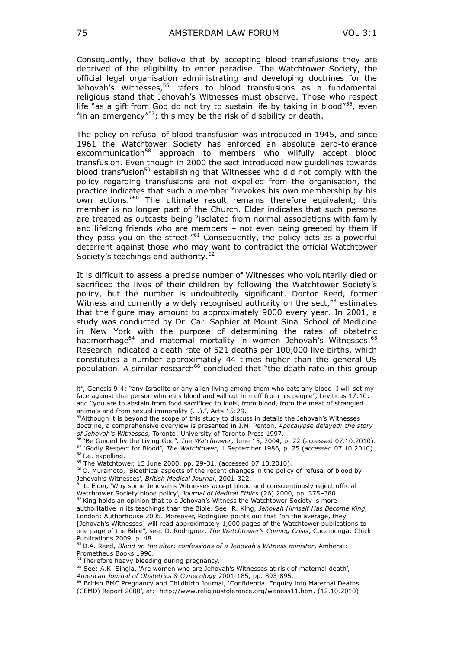Consequently, they believe that by accepting blood transfusions they are deprived of the eligibility to enter paradise. The Watchtower Society, the official legal organisation administrating and developing doctrines for the Jehovah's Witnesses, $55$  refers to blood transfusions as a fundamental religious stand that Jehovah"s Witnesses must observe. Those who respect life "as a gift from God do not try to sustain life by taking in blood"<sup>56</sup>, even "in an emergency"<sup>57</sup>; this may be the risk of disability or death.

The policy on refusal of blood transfusion was introduced in 1945, and since 1961 the Watchtower Society has enforced an absolute zero-tolerance excommunication<sup>58</sup> approach to members who wilfully accept blood transfusion. Even though in 2000 the sect introduced new guidelines towards blood transfusion<sup>59</sup> establishing that Witnesses who did not comply with the policy regarding transfusions are not expelled from the organisation, the practice indicates that such a member "revokes his own membership by his own actions."<sup>60</sup> The ultimate result remains therefore equivalent; this member is no longer part of the Church. Elder indicates that such persons are treated as outcasts being "isolated from normal associations with family and lifelong friends who are members – not even being greeted by them if they pass you on the street."<sup>61</sup> Consequently, the policy acts as a powerful deterrent against those who may want to contradict the official Watchtower Society's teachings and authority.<sup>62</sup>

It is difficult to assess a precise number of Witnesses who voluntarily died or sacrificed the lives of their children by following the Watchtower Society"s policy, but the number is undoubtedly significant. Doctor Reed, former Witness and currently a widely recognised authority on the sect,  $63$  estimates that the figure may amount to approximately 9000 every year. In 2001, a study was conducted by Dr. Carl Saphier at Mount Sinai School of Medicine in New York with the purpose of determining the rates of obstetric haemorrhage<sup>64</sup> and maternal mortality in women Jehovah's Witnesses.<sup>65</sup> Research indicated a death rate of 521 deaths per 100,000 live births, which constitutes a number approximately 44 times higher than the general US population. A similar research<sup>66</sup> concluded that "the death rate in this group

- it", [Genesis 9:4;](http://bibref.hebtools.com/?book=%20Genesis&verse=9:4&src=!) "any Israelite or any alien living among them who eats any blood–I will set my face against that person who eats blood and will cut him off from his people", Leviticus 17:10; and "you are to abstain from food sacrificed to idols, from blood, from the meat of strangled animals and from sexual immorality (...).", Acts 15:29.
- <sup>55</sup>Although it is beyond the scope of this study to discuss in details the Jehovah's Witnesses doctrine, a comprehensive overview is presented in J.M. Penton, *Apocalypse delayed: the story of Jehovah's Witnesses*, Toronto: University of Toronto Press 1997.

 $60$  O. Muramoto, 'Bioethical aspects of the recent changes in the policy of refusal of blood by Jehovah"s Witnesses", *British Medical Journal*, 2001-322.

<sup>61</sup> L. Elder, 'Why some Jehovah's Witnesses accept blood and conscientiously reject official Watchtower Society blood policy', *Journal of Medical Ethics* (26) 2000, pp. 375-380. <sup>62</sup> King holds an opinion that to a Jehovah's Witness the Watchtower Society is more

authoritative in its teachings than the Bible. See: R. King, *Jehovah Himself Has Become King,*  London: Authorhouse 2005. Moreover, Rodriguez points out that "on the average, they [Jehovah"s Witnesses] will read approximately 1,000 pages of the Watchtower publications to one page of the Bible", see: D. Rodriguez, *The Watchtower's Coming Crisis*, Cucamonga: Chick Publications 2009, p. 48.

<sup>56</sup> "Be Guided by the Living God", *The Watchtower*, June 15, 2004, p. 22 (accessed 07.10.2010). <sup>57</sup> "Godly Respect for Blood", *The Watchtower*, 1 September 1986, p. 25 (accessed 07.10.2010). <sup>58</sup> I.e. expelling.

<sup>59</sup> The Watchtower, 15 June 2000, pp. 29-31. (accessed 07.10.2010).

<sup>63</sup> D.A. Reed, *Blood on the altar: confessions of a Jehovah's Witness minister*, Amherst: Prometheus Books 1996.

<sup>&</sup>lt;sup>64</sup> Therefore heavy bleeding during pregnancy.

<sup>&</sup>lt;sup>65</sup> See: A.K. Singla, 'Are women who are Jehovah's Witnesses at risk of maternal death', *American Journal of Obstetrics & Gynecology* 2001-185, pp. 893-895.

<sup>&</sup>lt;sup>66</sup> British BMC Pregnancy and Childbirth Journal, 'Confidential Enquiry into Maternal Deaths (CEMD) Report 2000", at: [http://www.religioustolerance.org/witness11.htm.](http://www.religioustolerance.org/witness11.htm) (12.10.2010)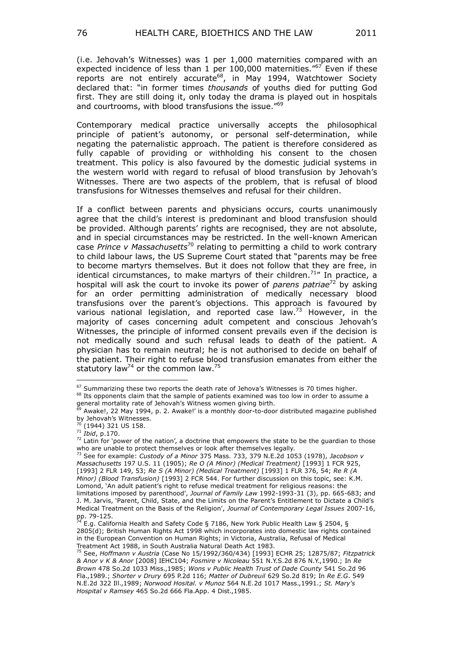(i.e. Jehovah"s Witnesses) was 1 per 1,000 maternities compared with an expected incidence of less than 1 per 100,000 maternities."<sup>67</sup> Even if these reports are not entirely accurate<sup>68</sup>, in May 1994, Watchtower Society declared that: "in former times *thousands* of youths died for putting God first. They are still doing it, only today the drama is played out in hospitals and courtrooms, with blood transfusions the issue."<sup>69</sup>

Contemporary medical practice universally accepts the philosophical principle of patient's autonomy, or personal self-determination, while negating the paternalistic approach. The patient is therefore considered as fully capable of providing or withholding his consent to the chosen treatment. This policy is also favoured by the domestic judicial systems in the western world with regard to refusal of blood transfusion by Jehovah"s Witnesses. There are two aspects of the problem, that is refusal of blood transfusions for Witnesses themselves and refusal for their children.

If a conflict between parents and physicians occurs, courts unanimously agree that the child's interest is predominant and blood transfusion should be provided. Although parents' rights are recognised, they are not absolute, and in special circumstances may be restricted. In the well-known American case *Prince v Massachusetts*<sup>70</sup> relating to permitting a child to work contrary to child labour laws, the US Supreme Court stated that "parents may be free to become martyrs themselves. But it does not follow that they are free, in identical circumstances, to make martyrs of their children.<sup>71</sup>" In practice, a hospital will ask the court to invoke its power of *parens patriae*<sup>72</sup> by asking for an order permitting administration of medically necessary blood transfusions over the parent"s objections. This approach is favoured by various national legislation, and reported case law.<sup>73</sup> However, in the majority of cases concerning adult competent and conscious Jehovah"s Witnesses, the principle of informed consent prevails even if the decision is not medically sound and such refusal leads to death of the patient. A physician has to remain neutral; he is not authorised to decide on behalf of the patient. Their right to refuse blood transfusion emanates from either the statutory law<sup>74</sup> or the common law.<sup>75</sup>

 $67$  Summarizing these two reports the death rate of Jehova's Witnesses is 70 times higher.

<sup>&</sup>lt;sup>68</sup> Its opponents claim that the sample of patients examined was too low in order to assume a general mortality rate of Jehovah's Witness women giving birth.

<sup>&</sup>lt;sup>9</sup> Awake!, 22 May 1994, p. 2. Awake!' is a monthly door-to-door distributed magazine published by Jehovah"s Witnesses.

<sup>(1944) 321</sup> US 158.

<sup>71</sup> *Ibid*, p.170.

 $72$  Latin for 'power of the nation', a doctrine that empowers the state to be the guardian to those who are unable to protect themselves or look after themselves legally.

<sup>73</sup> See for example: *Custody of a Minor* 375 Mass. 733, 379 N.E.2d 1053 (1978), *Jacobson v Massachusetts* 197 U.S. 11 (1905); *Re O (A Minor) (Medical Treatment)* [1993] 1 FCR 925, [1993] 2 FLR 149, 53; *Re S (A Minor) (Medical Treatment)* [1993] 1 FLR 376, 54; *Re R (A Minor) (Blood Transfusion)* [1993] 2 FCR 544. For further discussion on this topic, see: K.M. Lomond, "An adult patient"s right to refuse medical treatment for religious reasons: the limitations imposed by parenthood", *Journal of Family Law* 1992-1993-31 (3), pp. 665-683; and J. M. Jarvis, "Parent, Child, State, and the Limits on the Parent"s Entitlement to Dictate a Child"s Medical Treatment on the Basis of the Religion", *Journal of Contemporary Legal Issues* 2007-16, pp. 79-125.

 $^{74}$  E.g. California Health and Safety Code § 7186, New York Public Health Law § 2504, § 2805(d); British Human Rights Act 1998 which incorporates into domestic law rights contained in the European Convention on Human Rights; in Victoria, Australia, Refusal of Medical Treatment Act 1988, in South Australia Natural Death Act 1983.

<sup>75</sup> See, *Hoffmann v Austria* (Case No 15/1992/360/434) [1993] ECHR 25; 12875/87; *Fitzpatrick & Anor v K & Anor* [2008] IEHC104; *Fosmire v Nicoleau* 551 N.Y.S.2d 876 N.Y.,1990.; In *Re Brown* 478 So.2d 1033 Miss.,1985; *Wons v Public Health Trust of Dade County* 541 So.2d 96 Fla.,1989.; *Shorter v Drury* 695 P.2d 116; *Matter of Dubreuil* 629 So.2d 819; In *Re E.G*. 549 N.E.2d 322 Ill.,1989; *Norwood Hosital. v Munoz* 564 N.E.2d 1017 Mass.,1991.; *St. Mary's Hospital v Ramsey* 465 So.2d 666 Fla.App. 4 Dist.,1985.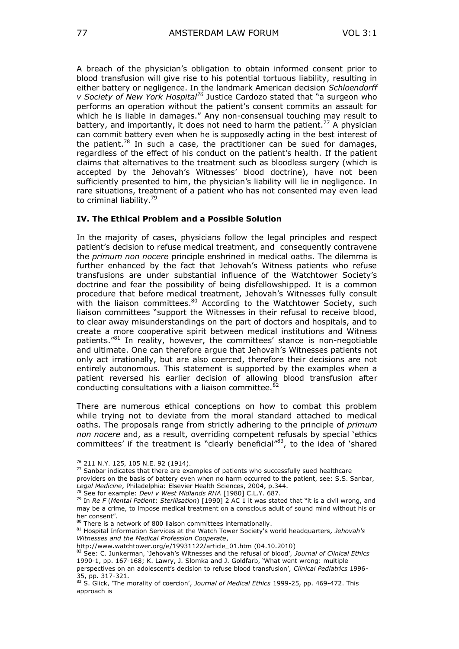A breach of the physician"s obligation to obtain informed consent prior to blood transfusion will give rise to his potential tortuous liability, resulting in either battery or negligence. In the landmark American decision *Schloendorff v Society of New York Hospital<sup>76</sup>* Justice Cardozo stated that "a surgeon who performs an operation without the patient"s consent commits an assault for which he is liable in damages." Any non-consensual touching may result to battery, and importantly, it does not need to harm the patient.<sup>77</sup> A physician can commit battery even when he is supposedly acting in the best interest of the patient.<sup>78</sup> In such a case, the practitioner can be sued for damages, regardless of the effect of his conduct on the patient's health. If the patient claims that alternatives to the treatment such as bloodless surgery (which is accepted by the Jehovah"s Witnesses" blood doctrine), have not been sufficiently presented to him, the physician's liability will lie in negligence. In rare situations, treatment of a patient who has not consented may even lead to criminal liability.<sup>79</sup>

#### **IV. The Ethical Problem and a Possible Solution**

In the majority of cases, physicians follow the legal principles and respect patient"s decision to refuse medical treatment, and consequently contravene the *primum non nocere* principle enshrined in medical oaths. The dilemma is further enhanced by the fact that Jehovah's Witness patients who refuse transfusions are under substantial influence of the Watchtower Society"s doctrine and fear the possibility of being disfellowshipped. It is a common procedure that before medical treatment, Jehovah's Witnesses fully consult with the liaison committees.<sup>80</sup> According to the Watchtower Society, such liaison committees "support the Witnesses in their refusal to receive blood, to clear away misunderstandings on the part of doctors and hospitals, and to create a more cooperative spirit between medical institutions and Witness patients."<sup>81</sup> In reality, however, the committees' stance is non-negotiable and ultimate. One can therefore argue that Jehovah"s Witnesses patients not only act irrationally, but are also coerced, therefore their decisions are not entirely autonomous. This statement is supported by the examples when a patient reversed his earlier decision of allowing blood transfusion after conducting consultations with a liaison committee.<sup>82</sup>

There are numerous ethical conceptions on how to combat this problem while trying not to deviate from the moral standard attached to medical oaths. The proposals range from strictly adhering to the principle of *primum non nocere* and, as a result, overriding competent refusals by special "ethics committees' if the treatment is "clearly beneficial"<sup>83</sup>, to the idea of 'shared

<sup>76</sup> 211 N.Y. 125, 105 N.E. 92 (1914).

 $77$  Sanbar indicates that there are examples of patients who successfully sued healthcare providers on the basis of battery even when no harm occurred to the patient, see: S.S. Sanbar, *Legal Medicine*, Philadelphia: Elsevier Health Sciences, 2004, p.344.

<sup>78</sup> See for example: *Devi v West Midlands RHA* [1980] C.L.Y. 687.

<sup>79</sup> In *Re F* (*Mental Patient*: *Sterilisation*) [1990] 2 AC 1 it was stated that "it is a civil wrong, and may be a crime, to impose medical treatment on a conscious adult of sound mind without his or her consent".

<sup>80</sup> There is a network of 800 liaison committees internationally.

<sup>81</sup> Hospital Information Services at the Watch Tower Society's world headquarters*, Jehovah's Witnesses and the Medical Profession Cooperate*,

[http://www.watchtower.org/e/19931122/article\\_01.htm](http://www.watchtower.org/e/19931122/article_01.htm) (04.10.2010)

<sup>82</sup> See: C. Junkerman, "Jehovah"s Witnesses and the refusal of blood", *Journal of Clinical Ethics* 1990-1, pp. 167-168; K. Lawry, J. Slomka and J. Goldfarb, "What went wrong: multiple perspectives on an adolescent"s decision to refuse blood transfusion", *Clinical Pediatrics* 1996-

<sup>35,</sup> pp. 317-321. <sup>83</sup> S. Glick, "The morality of coercion", *Journal of Medical Ethics* 1999-25, pp. 469-472. This

approach is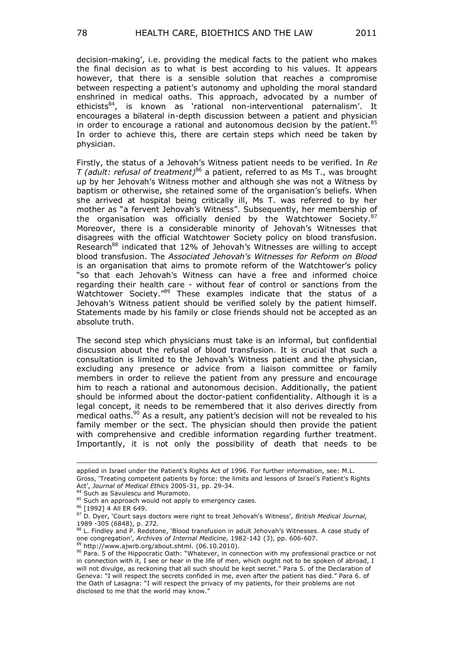decision-making", i.e. providing the medical facts to the patient who makes the final decision as to what is best according to his values. It appears however, that there is a sensible solution that reaches a compromise between respecting a patient's autonomy and upholding the moral standard enshrined in medical oaths. This approach, advocated by a number of ethicists<sup>84</sup>, is known as 'rational non-interventional paternalism'. It encourages a bilateral in-depth discussion between a patient and physician in order to encourage a rational and autonomous decision by the patient.<sup>85</sup> In order to achieve this, there are certain steps which need be taken by physician.

Firstly, the status of a Jehovah"s Witness patient needs to be verified. In *Re T (adult: refusal of treatment)*<sup>86</sup> a patient, referred to as Ms T., was brought up by her Jehovah"s Witness mother and although she was not a Witness by baptism or otherwise, she retained some of the organisation's beliefs. When she arrived at hospital being critically ill, Ms T. was referred to by her mother as "a fervent Jehovah"s Witness". Subsequently, her membership of the organisation was officially denied by the Watchtower Society.<sup>87</sup> Moreover, there is a considerable minority of Jehovah's Witnesses that disagrees with the official Watchtower Society policy on blood transfusion. Research<sup>88</sup> indicated that 12% of Jehovah's Witnesses are willing to accept blood transfusion. The *Associated Jehovah's Witnesses for Reform on Blood* is an organisation that aims to promote reform of the Watchtower"s policy "so that each Jehovah"s Witness can have a free and informed choice regarding their health care - without fear of control or sanctions from the Watchtower Society."<sup>89</sup> These examples indicate that the status of a Jehovah's Witness patient should be verified solely by the patient himself. Statements made by his family or close friends should not be accepted as an absolute truth.

The second step which physicians must take is an informal, but confidential discussion about the refusal of blood transfusion. It is crucial that such a consultation is limited to the Jehovah"s Witness patient and the physician, excluding any presence or advice from a liaison committee or family members in order to relieve the patient from any pressure and encourage him to reach a rational and autonomous decision. Additionally, the patient should be informed about the doctor-patient confidentiality. Although it is a legal concept, it needs to be remembered that it also derives directly from medical oaths.<sup>90</sup> As a result, any patient's decision will not be revealed to his family member or the sect. The physician should then provide the patient with comprehensive and credible information regarding further treatment. Importantly, it is not only the possibility of death that needs to be

applied in Israel under the Patient's Rights Act of 1996. For further information, see: M.L. Gross, "Treating competent patients by force: the limits and lessons of Israel"s Patient"s Rights Act", *Journal of Medical Ethics* 2005-31, pp. 29-34.

<sup>&</sup>lt;sup>4</sup> Such as Savulescu and Muramoto.

<sup>85</sup> Such an approach would not apply to emergency cases.

<sup>86 [1992] 4</sup> All ER 649.

<sup>87</sup> D. Dyer, "Court says doctors were right to treat Jehovah's Witness", *British Medical Journal,*  1989 -305 (6848), p. 272.

<sup>88</sup> L. Findley and P. Redstone, 'Blood transfusion in adult Jehovah's Witnesses. A case study of one congregation", *Archives of Internal Medicine,* 1982-142 (3), pp. 606-607.

 $\theta$  [http://www.ajwrb.org/about.shtml.](http://www.ajwrb.org/about.shtml) (06.10.2010).

<sup>90</sup> Para. 5 of the Hippocratic Oath: "Whatever, in connection with my professional practice or not in connection with it, I see or hear in the life of men, which ought not to be spoken of abroad, I will not divulge, as reckoning that all such should be kept secret." Para 5. of the Declaration of Geneva: "I will respect the secrets confided in me, even after the patient has died." Para 6. of the Oath of Lasagna: "I will respect the privacy of my patients, for their problems are not disclosed to me that the world may know."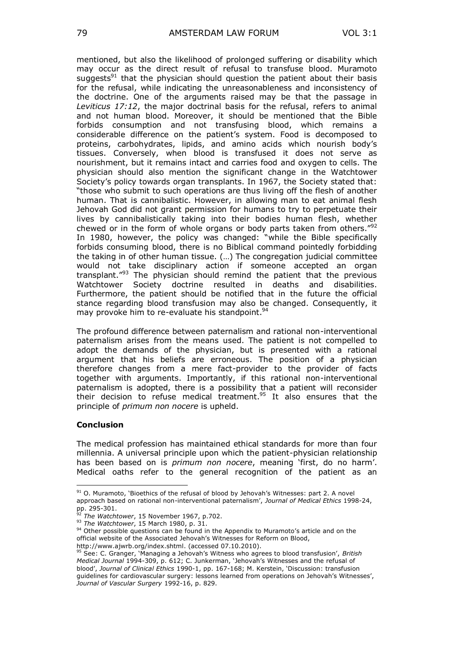mentioned, but also the likelihood of prolonged suffering or disability which may occur as the direct result of refusal to transfuse blood. Muramoto suggests<sup>91</sup> that the physician should question the patient about their basis for the refusal, while indicating the unreasonableness and inconsistency of the doctrine. One of the arguments raised may be that the passage in *Leviticus 17:12*, the major doctrinal basis for the refusal, refers to animal and not human blood. Moreover, it should be mentioned that the Bible forbids consumption and not transfusing blood, which remains a considerable difference on the patient's system. Food is decomposed to proteins, carbohydrates, lipids, and amino acids which nourish body"s tissues. Conversely, when blood is transfused it does not serve as nourishment, but it remains intact and carries food and oxygen to cells. The physician should also mention the significant change in the Watchtower Society"s policy towards organ transplants. In 1967, the Society stated that: "those who submit to such operations are thus living off the flesh of another human. That is cannibalistic. However, in allowing man to eat animal flesh Jehovah God did not grant permission for humans to try to perpetuate their lives by cannibalistically taking into their bodies human flesh, whether chewed or in the form of whole organs or body parts taken from others."<sup>92</sup> In 1980, however, the policy was changed: "while the Bible specifically forbids consuming blood, there is no Biblical command pointedly forbidding the taking in of other human tissue. (…) The congregation judicial committee would not take disciplinary action if someone accepted an organ transplant."<sup>93</sup> The physician should remind the patient that the previous Watchtower Society doctrine resulted in deaths and disabilities. Furthermore, the patient should be notified that in the future the official stance regarding blood transfusion may also be changed. Consequently, it may provoke him to re-evaluate his standpoint.<sup>94</sup>

The profound difference between paternalism and rational non-interventional paternalism arises from the means used. The patient is not compelled to adopt the demands of the physician, but is presented with a rational argument that his beliefs are erroneous. The position of a physician therefore changes from a mere fact-provider to the provider of facts together with arguments. Importantly, if this rational non-interventional paternalism is adopted, there is a possibility that a patient will reconsider their decision to refuse medical treatment.<sup>95</sup> It also ensures that the principle of *primum non nocere* is upheld.

#### **Conclusion**

 $\overline{a}$ 

The medical profession has maintained ethical standards for more than four millennia. A universal principle upon which the patient-physician relationship has been based on is *primum non nocere*, meaning "first, do no harm". Medical oaths refer to the general recognition of the patient as an

 $91$  O. Muramoto, 'Bioethics of the refusal of blood by Jehovah's Witnesses: part 2. A novel approach based on rational non-interventional paternalism", *Journal of Medical Ethics* 1998-24, pp. 295-301.

<sup>92</sup> *The Watchtower*, 15 November 1967, p.702.

<sup>93</sup> *The Watchtower*, 15 March 1980, p. 31.

<sup>&</sup>lt;sup>94</sup> Other possible questions can be found in the Appendix to Muramoto's article and on the official website of the Associated Jehovah"s Witnesses for Reform on Blood, [http://www.ajwrb.org/index.shtml.](http://www.ajwrb.org/index.shtml) (accessed 07.10.2010).

<sup>95</sup> See: C. Granger, "Managing a Jehovah"s Witness who agrees to blood transfusion", *British Medical Journal* 1994-309, p. 612; C. Junkerman, "Jehovah"s Witnesses and the refusal of blood", *Journal of Clinical Ethics* 1990-1, pp. 167-168; M. Kerstein, "Discussion: transfusion guidelines for cardiovascular surgery: lessons learned from operations on Jehovah's Witnesses', *Journal of Vascular Surgery* 1992-16, p. 829.